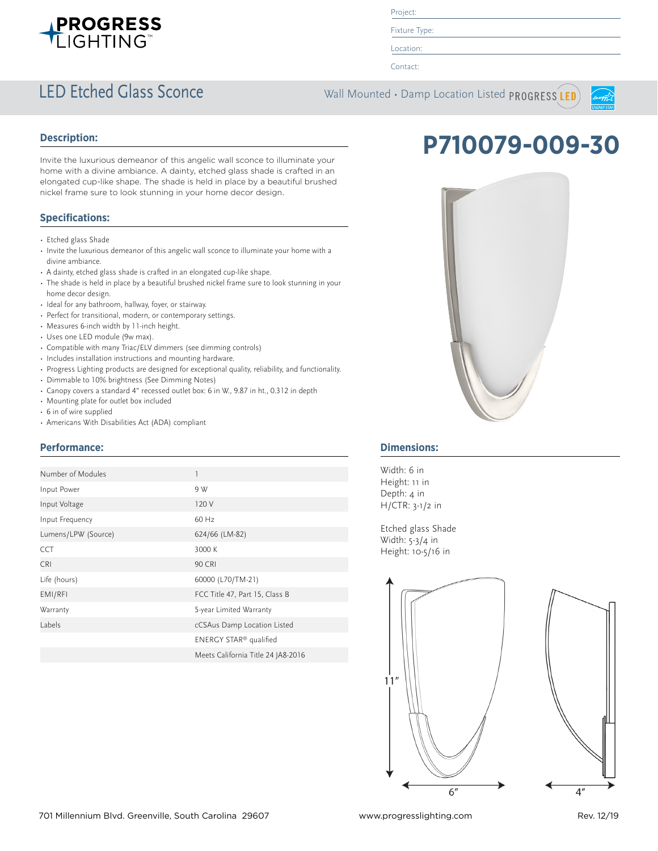

Project:

Fixture Type:

Location:

Contact:

### LED Etched Glass Sconce Wall Mounted • Damp Location Listed PROGRESS LED



#### **Description:**

Invite the luxurious demeanor of this angelic wall sconce to illuminate your home with a divine ambiance. A dainty, etched glass shade is crafted in an elongated cup-like shape. The shade is held in place by a beautiful brushed nickel frame sure to look stunning in your home decor design.

### **Specifications:**

- Etched glass Shade
- Invite the luxurious demeanor of this angelic wall sconce to illuminate your home with a divine ambiance.
- A dainty, etched glass shade is crafted in an elongated cup-like shape.
- The shade is held in place by a beautiful brushed nickel frame sure to look stunning in your home decor design.
- Ideal for any bathroom, hallway, foyer, or stairway.
- Perfect for transitional, modern, or contemporary settings.
- Measures 6-inch width by 11-inch height.
- Uses one LED module (9w max).
- Compatible with many Triac/ELV dimmers (see dimming controls)
- Includes installation instructions and mounting hardware.
- Progress Lighting products are designed for exceptional quality, reliability, and functionality.
- Dimmable to 10% brightness (See Dimming Notes)
- Canopy covers a standard 4" recessed outlet box: 6 in W., 9.87 in ht., 0.312 in depth
- Mounting plate for outlet box included
- 6 in of wire supplied
- Americans With Disabilities Act (ADA) compliant

### **Performance:**

| Number of Modules   | 1                                  |
|---------------------|------------------------------------|
| Input Power         | 9 W                                |
| Input Voltage       | 120 V                              |
| Input Frequency     | 60 Hz                              |
| Lumens/LPW (Source) | 624/66 (LM-82)                     |
| <b>CCT</b>          | 3000 K                             |
| <b>CRI</b>          | 90 CRI                             |
| Life (hours)        | 60000 (L70/TM-21)                  |
| EMI/RFI             | FCC Title 47, Part 15, Class B     |
| Warranty            | 5-year Limited Warranty            |
| Labels              | cCSAus Damp Location Listed        |
|                     | ENERGY STAR® qualified             |
|                     | Meets California Title 24 JA8-2016 |





### **Dimensions:**

Width: 6 in Height: 11 in Depth: 4 in H/CTR: 3-1/2 in

Etched glass Shade Width: 5-3/4 in Height: 10-5/16 in